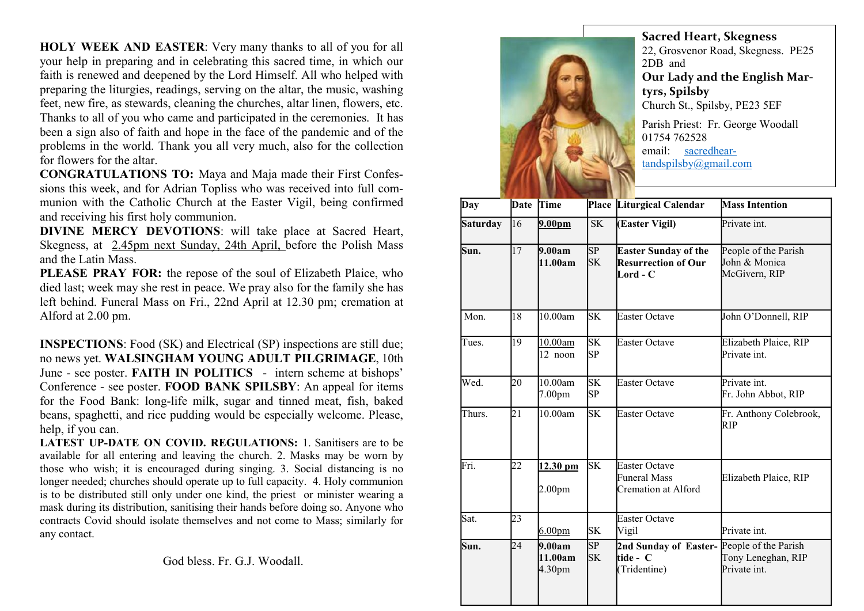HOLY WEEK AND EASTER: Very many thanks to all of you for all your help in preparing and in celebrating this sacred time, in which our faith is renewed and deepened by the Lord Himself. All who helped with preparing the liturgies, readings, serving on the altar, the music, washing feet, new fire, as stewards, cleaning the churches, altar linen, flowers, etc. Thanks to all of you who came and participated in the ceremonies. It has been a sign also of faith and hope in the face of the pandemic and of the problems in the world. Thank you all very much, also for the collection for flowers for the altar.

CONGRATULATIONS TO: Maya and Maja made their First Confessions this week, and for Adrian Topliss who was received into full communion with the Catholic Church at the Easter Vigil, being confirmed and receiving his first holy communion.

DIVINE MERCY DEVOTIONS: will take place at Sacred Heart, Skegness, at 2.45pm next Sunday, 24th April, before the Polish Mass and the Latin Mass.

PLEASE PRAY FOR: the repose of the soul of Elizabeth Plaice, who died last; week may she rest in peace. We pray also for the family she has left behind. Funeral Mass on Fri., 22nd April at 12.30 pm; cremation at Alford at 2.00 pm.

INSPECTIONS: Food (SK) and Electrical (SP) inspections are still due; no news yet. WALSINGHAM YOUNG ADULT PILGRIMAGE, 10th June - see poster. FAITH IN POLITICS - intern scheme at bishops' Conference - see poster. FOOD BANK SPILSBY: An appeal for items for the Food Bank: long-life milk, sugar and tinned meat, fish, baked beans, spaghetti, and rice pudding would be especially welcome. Please, help, if you can.

LATEST UP-DATE ON COVID. REGULATIONS: 1. Sanitisers are to be available for all entering and leaving the church. 2. Masks may be worn by those who wish; it is encouraged during singing. 3. Social distancing is no longer needed; churches should operate up to full capacity. 4. Holy communion is to be distributed still only under one kind, the priest or minister wearing a mask during its distribution, sanitising their hands before doing so. Anyone who contracts Covid should isolate themselves and not come to Mass; similarly for any contact.

God bless. Fr. G.J. Woodall.



Sacred Heart, Skegness 22, Grosvenor Road, Skegness. PE25 2DB and Our Lady and the English Martyrs, Spilsby Church St., Spilsby, PE23 5EF Parish Priest: Fr. George Woodall 01754 762528

email: sacredheartandspilsby@gmail.com

| Day             | Date            | Time                           |                              | Place Liturgical Calendar                                             | <b>Mass Intention</b>                                  |
|-----------------|-----------------|--------------------------------|------------------------------|-----------------------------------------------------------------------|--------------------------------------------------------|
| <b>Saturday</b> | 16              | 9.00 <sub>pm</sub>             | <b>SK</b>                    | (Easter Vigil)                                                        | Private int.                                           |
| Sun.            | 17              | 9.00am<br>11.00am              | SP<br><b>SK</b>              | <b>Easter Sunday of the</b><br><b>Resurrection of Our</b><br>Lord - C | People of the Parish<br>John & Monica<br>McGivern, RIP |
| Mon.            | 18              | 10.00am                        | <b>SK</b>                    | <b>Easter Octave</b>                                                  | John O'Donnell, RIP                                    |
| Tues.           | 19              | 10.00am<br>12 noon             | $\overline{\text{SK}}$<br>SP | <b>Easter Octave</b>                                                  | Elizabeth Plaice, RIP<br>Private int.                  |
| Wed.            | 20              | 10.00am<br>7.00 <sub>pm</sub>  | <b>SK</b><br>SP              | <b>Easter Octave</b>                                                  | Private int.<br>Fr. John Abbot, RIP                    |
| Thurs.          | $\overline{21}$ | 10.00am                        | $\overline{\text{SK}}$       | <b>Easter Octave</b>                                                  | Fr. Anthony Colebrook,<br><b>RIP</b>                   |
| Fri.            | 22              | 12.30 pm<br>2.00 <sub>pm</sub> | SK                           | <b>Easter Octave</b><br>Funeral Mass<br>Cremation at Alford           | Elizabeth Plaice, RIP                                  |
| Sat.            | 23              | 6.00 <sub>pm</sub>             | <b>SK</b>                    | <b>Easter Octave</b><br>Vigil                                         | Private int.                                           |
| Sun.            | 24              | 9.00am<br>11.00am<br>4.30pm    | SP<br><b>SK</b>              | 2nd Sunday of Easter-People of the Parish<br>tide - C<br>(Tridentine) | Tony Leneghan, RIP<br>Private int.                     |